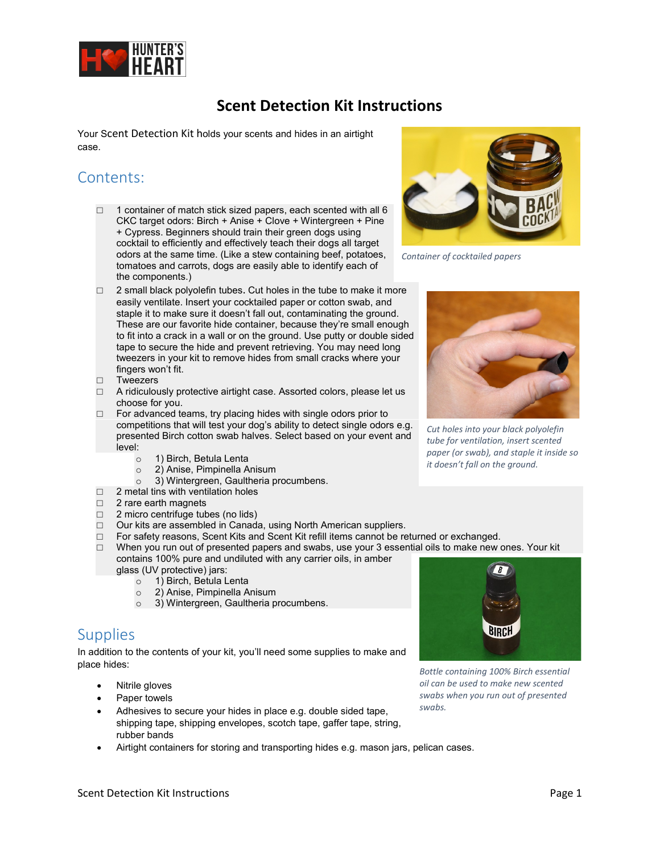

## **Scent Detection Kit Instructions**

Your Scent Detection Kit holds your scents and hides in an airtight case.

# Contents:

- $\Box$  1 container of match stick sized papers, each scented with all 6 CKC target odors: Birch + Anise + Clove + Wintergreen + Pine + Cypress. Beginners should train their green dogs using cocktail to efficiently and effectively teach their dogs all target odors at the same time. (Like a stew containing beef, potatoes, tomatoes and carrots, dogs are easily able to identify each of the components.)
- $\Box$  2 small black polyolefin tubes. Cut holes in the tube to make it more easily ventilate. Insert your cocktailed paper or cotton swab, and staple it to make sure it doesn't fall out, contaminating the ground. These are our favorite hide container, because they're small enough to fit into a crack in a wall or on the ground. Use putty or double sided tape to secure the hide and prevent retrieving. You may need long tweezers in your kit to remove hides from small cracks where your fingers won't fit.
- □ Tweezers
- □ A ridiculously protective airtight case. Assorted colors, please let us choose for you.
- $\Box$  For advanced teams, try placing hides with single odors prior to competitions that will test your dog's ability to detect single odors e.g. presented Birch cotton swab halves. Select based on your event and level:
	- o 1) Birch, Betula Lenta<br>○ 2) Anise, Pimpinella A
	- o 2) Anise, Pimpinella Anisum<br>○ 3) Wintergreen, Gaultheria n
		- 3) Wintergreen[, Gaultheria procumbens.](https://store.huntersheart.com/Wintergreen_Essential_Oil_Gaultheria_procumbens_p/wint.htm)
- $\Box$  2 metal tins with ventilation holes
- □ 2 rare earth magnets
- □ 2 micro centrifuge tubes (no lids)
- □ Our kits are assembled in Canada, using North American suppliers.
- □ For safety reasons, Scent Kits and Scent Kit refill items cannot be returned or exchanged.
- $\Box$  When you run out of presented papers and swabs, use your 3 essential oils to make new ones. Your kit contains 100% pure and undiluted with any carrier oils, in amber
	- glass (UV protective) jars:
		- o 1) Birch, Betula Lenta
		- o 2) Anise, Pimpinella Anisum
		- o 3) Wintergreen[, Gaultheria procumbens.](https://store.huntersheart.com/Wintergreen_Essential_Oil_Gaultheria_procumbens_p/wint.htm)

#### **Supplies**

In addition to the contents of your kit, you'll need some supplies to make and place hides:

- Nitrile gloves
- Paper towels
- Adhesives to secure your hides in place e.g. double sided tape, shipping tape, shipping envelopes, scotch tape, gaffer tape, string, rubber bands
- Airtight containers for storing and transporting hides e.g. mason jars, pelican cases.



*Container of cocktailed papers*



*Cut holes into your black polyolefin tube for ventilation, insert scented paper (or swab), and staple it inside so it doesn't fall on the ground.*



*swabs.*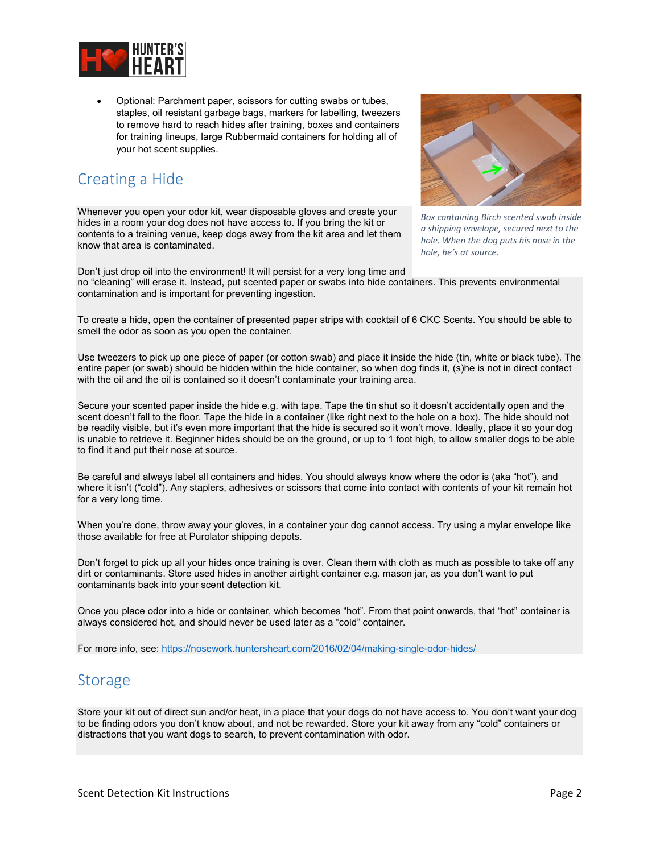

• Optional: Parchment paper, scissors for cutting swabs or tubes, staples, oil resistant garbage bags, markers for labelling, tweezers to remove hard to reach hides after training, boxes and containers for training lineups, large Rubbermaid containers for holding all of your hot scent supplies.

### Creating a Hide

Whenever you open your odor kit, wear disposable gloves and create your hides in a room your dog does not have access to. If you bring the kit or contents to a training venue, keep dogs away from the kit area and let them know that area is contaminated.



*Box containing Birch scented swab inside a shipping envelope, secured next to the hole. When the dog puts his nose in the hole, he's at source.* 

Don't just drop oil into the environment! It will persist for a very long time and no "cleaning" will erase it. Instead, put scented paper or swabs into hide containers. This prevents environmental contamination and is important for preventing ingestion.

To create a hide, open the container of presented paper strips with cocktail of 6 CKC Scents. You should be able to smell the odor as soon as you open the container.

Use tweezers to pick up one piece of paper (or cotton swab) and place it inside the hide (tin, white or black tube). The entire paper (or swab) should be hidden within the hide container, so when dog finds it, (s)he is not in direct contact with the oil and the oil is contained so it doesn't contaminate your training area.

Secure your scented paper inside the hide e.g. with tape. Tape the tin shut so it doesn't accidentally open and the scent doesn't fall to the floor. Tape the hide in a container (like right next to the hole on a box). The hide should not be readily visible, but it's even more important that the hide is secured so it won't move. Ideally, place it so your dog is unable to retrieve it. Beginner hides should be on the ground, or up to 1 foot high, to allow smaller dogs to be able to find it and put their nose at source.

Be careful and always label all containers and hides. You should always know where the odor is (aka "hot"), and where it isn't ("cold"). Any staplers, adhesives or scissors that come into contact with contents of your kit remain hot for a very long time.

When you're done, throw away your gloves, in a container your dog cannot access. Try using a mylar envelope like those available for free at Purolator shipping depots.

Don't forget to pick up all your hides once training is over. Clean them with cloth as much as possible to take off any dirt or contaminants. Store used hides in another airtight container e.g. mason jar, as you don't want to put contaminants back into your scent detection kit.

Once you place odor into a hide or container, which becomes "hot". From that point onwards, that "hot" container is always considered hot, and should never be used later as a "cold" container.

For more info, see:<https://nosework.huntersheart.com/2016/02/04/making-single-odor-hides/>

#### **Storage**

Store your kit out of direct sun and/or heat, in a place that your dogs do not have access to. You don't want your dog to be finding odors you don't know about, and not be rewarded. Store your kit away from any "cold" containers or distractions that you want dogs to search, to prevent contamination with odor.